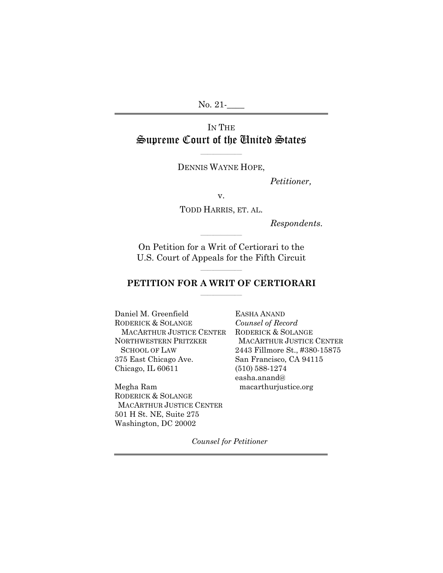No. 21-

## IN THE Supreme Court of the United States

 $\mathcal{L}_\text{max}$  and  $\mathcal{L}_\text{max}$  are the set of the set of the set of the set of the set of the set of the set of the set of the set of the set of the set of the set of the set of the set of the set of the set of the set o DENNIS WAYNE HOPE,

*Petitioner,* 

v.

TODD HARRIS, ET. AL.

*Respondents.*

On Petition for a Writ of Certiorari to the U.S. Court of Appeals for the Fifth Circuit

 $\mathcal{L}_\text{max}$  and  $\mathcal{L}_\text{max}$  are the set of the set of the set of the set of the set of the set of the set of the set of the set of the set of the set of the set of the set of the set of the set of the set of the set o

#### $\sim$   $\sim$   $\sim$   $\sim$   $\sim$   $\sim$   $\sim$   $\sim$ **PETITION FOR A WRIT OF CERTIORARI**  \_\_\_\_\_\_\_\_\_\_\_\_\_\_\_\_\_\_\_\_\_\_\_

Daniel M. Greenfield RODERICK & SOLANGE MACARTHUR JUSTICE CENTER NORTHWESTERN PRITZKER SCHOOL OF LAW 375 East Chicago Ave. Chicago, IL 60611

Megha Ram RODERICK & SOLANGE MACARTHUR JUSTICE CENTER 501 H St. NE, Suite 275 Washington, DC 20002

EASHA ANAND *Counsel of Record*  RODERICK & SOLANGE MACARTHUR JUSTICE CENTER 2443 Fillmore St., #380-15875 San Francisco, CA 94115 (510) 588-1274 easha.anand@ macarthurjustice.org

*Counsel for Petitioner*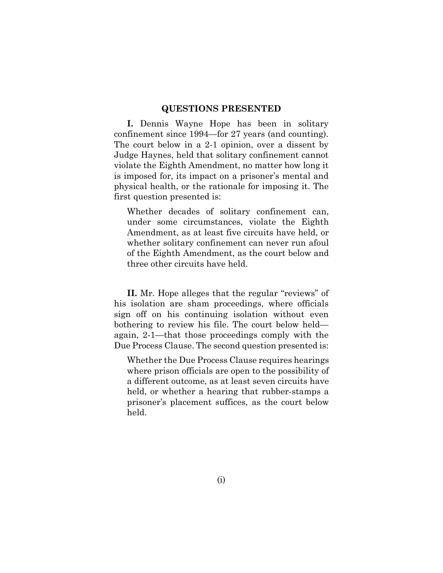#### **QUESTIONS PRESENTED**

**I.** Dennis Wayne Hope has been in solitary confinement since 1994—for 27 years (and counting). The court below in a 2-1 opinion, over a dissent by Judge Haynes, held that solitary confinement cannot violate the Eighth Amendment, no matter how long it is imposed for, its impact on a prisoner's mental and physical health, or the rationale for imposing it. The first question presented is:

Whether decades of solitary confinement can, under some circumstances, violate the Eighth Amendment, as at least five circuits have held, or whether solitary confinement can never run afoul of the Eighth Amendment, as the court below and three other circuits have held.

**II.** Mr. Hope alleges that the regular "reviews" of his isolation are sham proceedings, where officials sign off on his continuing isolation without even bothering to review his file. The court below held again, 2-1—that those proceedings comply with the Due Process Clause. The second question presented is:

Whether the Due Process Clause requires hearings where prison officials are open to the possibility of a different outcome, as at least seven circuits have held, or whether a hearing that rubber-stamps a prisoner's placement suffices, as the court below held.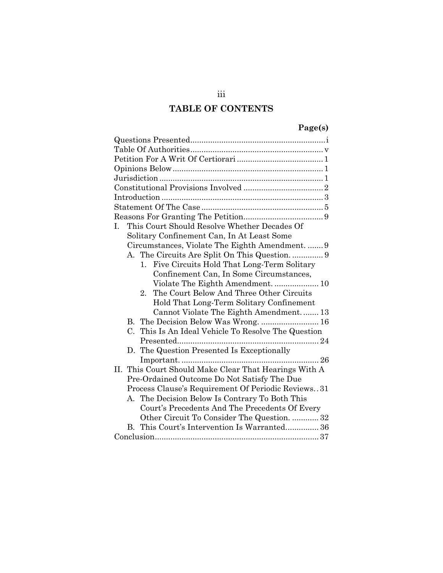## **TABLE OF CONTENTS**

## **Page(s)**

| This Court Should Resolve Whether Decades Of<br>$\mathbf{L}$    |
|-----------------------------------------------------------------|
| Solitary Confinement Can, In At Least Some                      |
| Circumstances, Violate The Eighth Amendment.  9                 |
|                                                                 |
| Five Circuits Hold That Long-Term Solitary<br>$1_{-}$           |
| Confinement Can, In Some Circumstances,                         |
|                                                                 |
| The Court Below And Three Other Circuits<br>$2_{-}$             |
| Hold That Long-Term Solitary Confinement                        |
| Cannot Violate The Eighth Amendment 13                          |
|                                                                 |
| This Is An Ideal Vehicle To Resolve The Question<br>$C_{\cdot}$ |
|                                                                 |
| D. The Question Presented Is Exceptionally                      |
| 26                                                              |
| II. This Court Should Make Clear That Hearings With A           |
| Pre-Ordained Outcome Do Not Satisfy The Due                     |
| Process Clause's Requirement Of Periodic Reviews. 31            |
| A. The Decision Below Is Contrary To Both This                  |
| Court's Precedents And The Precedents Of Every                  |
| Other Circuit To Consider The Question.  32                     |
| This Court's Intervention Is Warranted 36<br>$\bf{B}$           |
|                                                                 |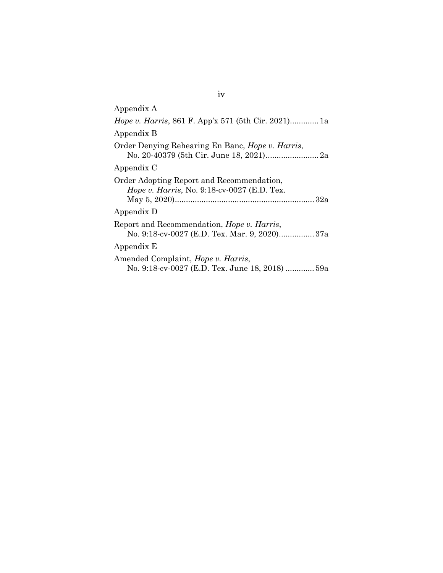| Appendix A                                                                                      |
|-------------------------------------------------------------------------------------------------|
| <i>Hope v. Harris</i> , 861 F. App'x 571 (5th Cir. 2021)1a                                      |
| Appendix B                                                                                      |
| Order Denying Rehearing En Banc, <i>Hope v. Harris</i> ,                                        |
| Appendix C                                                                                      |
| Order Adopting Report and Recommendation,<br><i>Hope v. Harris, No.</i> 9:18-cv-0027 (E.D. Tex. |
| Appendix D                                                                                      |
| Report and Recommendation, Hope v. Harris,<br>No. 9:18-cv-0027 (E.D. Tex. Mar. 9, 2020)37a      |
| Appendix E                                                                                      |
| Amended Complaint, <i>Hope v. Harris</i> ,<br>No. 9:18-cv-0027 (E.D. Tex. June 18, 2018)  59a   |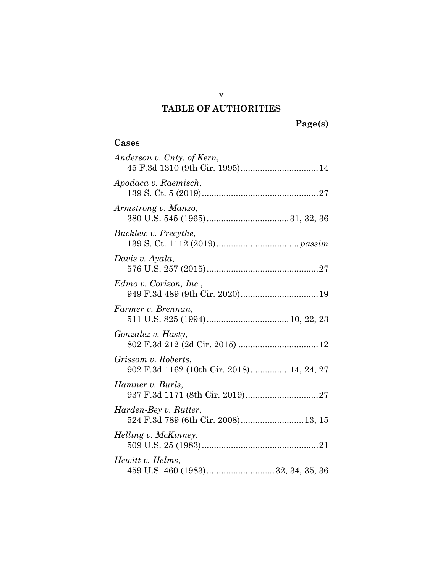# **TABLE OF AUTHORITIES**

## **Cases**

| Anderson v. Cnty. of Kern,                                       |
|------------------------------------------------------------------|
| Apodaca v. Raemisch,                                             |
| Armstrong v. Manzo,                                              |
| Bucklew v. Precythe,                                             |
| Davis v. Ayala,                                                  |
| Edmo v. Corizon, Inc.,                                           |
| Farmer v. Brennan,                                               |
| Gonzalez v. Hasty,                                               |
| Grissom v. Roberts,<br>902 F.3d 1162 (10th Cir. 2018) 14, 24, 27 |
| Hamner v. Burls,                                                 |
| Harden-Bey v. Rutter,<br>524 F.3d 789 (6th Cir. 2008) 13, 15     |
| Helling v. McKinney,                                             |
| Hewitt v. Helms,<br>459 U.S. 460 (1983)32, 34, 35, 36            |

v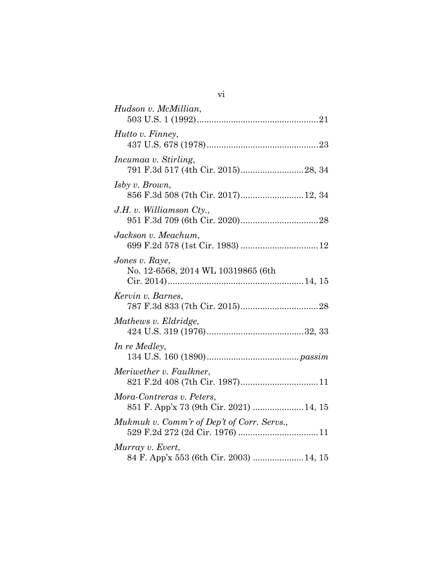| Hudson v. McMillian,                                                 |
|----------------------------------------------------------------------|
| Hutto v. Finney,                                                     |
| Incumaa v. Stirling,                                                 |
| Isby v. Brown,                                                       |
| J.H. v. Williamson $Cty$ .                                           |
| Jackson v. Meachum,                                                  |
| Jones v. Raye,<br>No. 12-6568, 2014 WL 10319865 (6th                 |
| Kervin v. Barnes,                                                    |
| Mathews v. Eldridge,                                                 |
| In re Medley,                                                        |
| Meriwether v. Faulkner,                                              |
| Mora-Contreras v. Peters,<br>851 F. App'x 73 (9th Cir. 2021)  14, 15 |
| Mukmuk v. Comm'r of Dep't of Corr. Servs.,                           |
| Murray v. Evert,<br>84 F. App'x 553 (6th Cir. 2003)  14, 15          |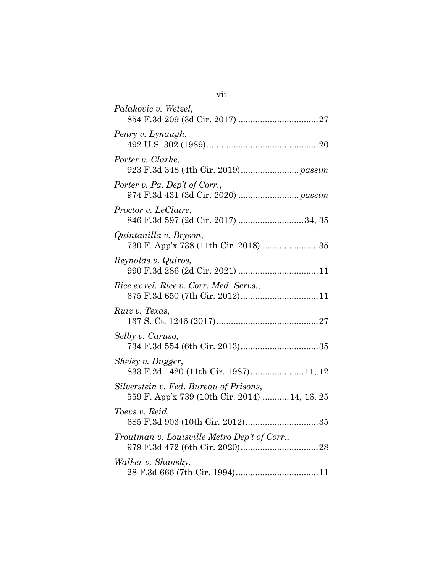| Palakovic v. Wetzel,                                                                    |
|-----------------------------------------------------------------------------------------|
| Penry v. Lynaugh,                                                                       |
| Porter v. Clarke,                                                                       |
| Porter v. Pa. Dep't of Corr.,                                                           |
| Proctor v. LeClaire,<br>846 F.3d 597 (2d Cir. 2017) 34, 35                              |
| Quintanilla v. Bryson,                                                                  |
| Reynolds v. Quiros,                                                                     |
| Rice ex rel. Rice v. Corr. Med. Servs.,<br>675 F.3d 650 (7th Cir. 2012) 11              |
| Ruiz v. Texas,                                                                          |
| Selby v. Caruso,                                                                        |
| Sheley v. Dugger,<br>833 F.2d 1420 (11th Cir. 1987)11, 12                               |
| Silverstein v. Fed. Bureau of Prisons,<br>559 F. App'x 739 (10th Cir. 2014)  14, 16, 25 |
| Toevs v. Reid,                                                                          |
| Troutman v. Louisville Metro Dep't of Corr.,                                            |
| Walker v. Shansky,                                                                      |

vii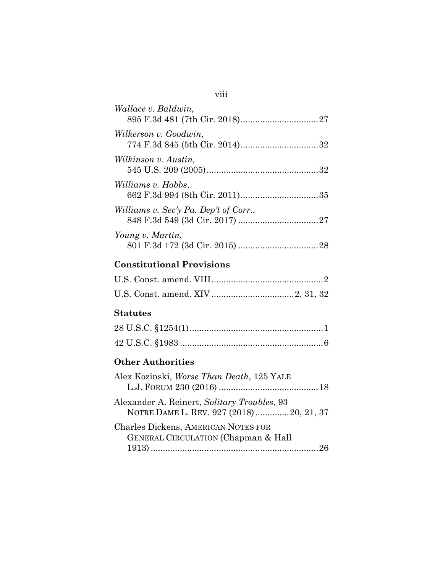| <i>Wallace v. Baldwin,</i>                                                             |
|----------------------------------------------------------------------------------------|
| Wilkerson v. Goodwin,                                                                  |
| Wilkinson v. Austin,                                                                   |
| Williams v. Hobbs,                                                                     |
| Williams v. Sec'y Pa. Dep't of Corr.,                                                  |
| Young v. Martin,                                                                       |
| <b>Constitutional Provisions</b>                                                       |
|                                                                                        |
|                                                                                        |
| <b>Statutes</b>                                                                        |
|                                                                                        |
|                                                                                        |
| <b>Other Authorities</b>                                                               |
| Alex Kozinski, Worse Than Death, 125 YALE                                              |
| Alexander A. Reinert, Solitary Troubles, 93<br>NOTRE DAME L. REV. 927 (2018)20, 21, 37 |
| <b>Charles Dickens, AMERICAN NOTES FOR</b><br>GENERAL CIRCULATION (Chapman & Hall      |

1913) ..................................................................... 26

## viii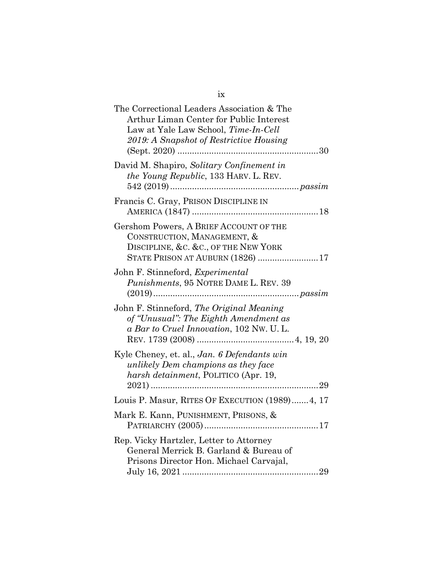| The Correctional Leaders Association & The<br>Arthur Liman Center for Public Interest<br>Law at Yale Law School, Time-In-Cell<br>2019: A Snapshot of Restrictive Housing |
|--------------------------------------------------------------------------------------------------------------------------------------------------------------------------|
| David M. Shapiro, Solitary Confinement in<br>the Young Republic, 133 HARV. L. REV.                                                                                       |
| Francis C. Gray, PRISON DISCIPLINE IN                                                                                                                                    |
| Gershom Powers, A BRIEF ACCOUNT OF THE<br>CONSTRUCTION, MANAGEMENT, &<br>DISCIPLINE, &C. &C., OF THE NEW YORK<br>STATE PRISON AT AUBURN (1826) 17                        |
| John F. Stinneford, Experimental<br>Punishments, 95 NOTRE DAME L. REV. 39                                                                                                |
| John F. Stinneford, The Original Meaning<br>of "Unusual": The Eighth Amendment as<br>a Bar to Cruel Innovation, 102 Nw. U.L.                                             |
| Kyle Cheney, et. al., Jan. 6 Defendants win<br>unlikely Dem champions as they face<br>harsh detainment, POLITICO (Apr. 19,                                               |
| Louis P. Masur, RITES OF EXECUTION (1989) 4, 17                                                                                                                          |
| Mark E. Kann, PUNISHMENT, PRISONS, &                                                                                                                                     |
| Rep. Vicky Hartzler, Letter to Attorney<br>General Merrick B. Garland & Bureau of<br>Prisons Director Hon. Michael Carvajal,                                             |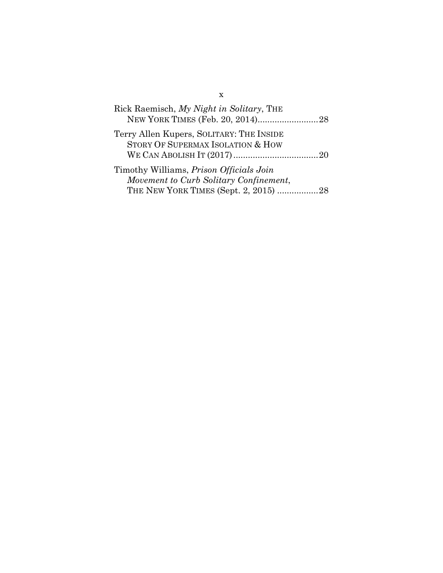| Rick Raemisch, My Night in Solitary, THE                                                                                          |  |
|-----------------------------------------------------------------------------------------------------------------------------------|--|
| Terry Allen Kupers, SOLITARY: THE INSIDE<br>STORY OF SUPERMAX ISOLATION & HOW                                                     |  |
| Timothy Williams, <i>Prison Officials Join</i><br>Movement to Curb Solitary Confinement,<br>THE NEW YORK TIMES (Sept. 2, 2015) 28 |  |

x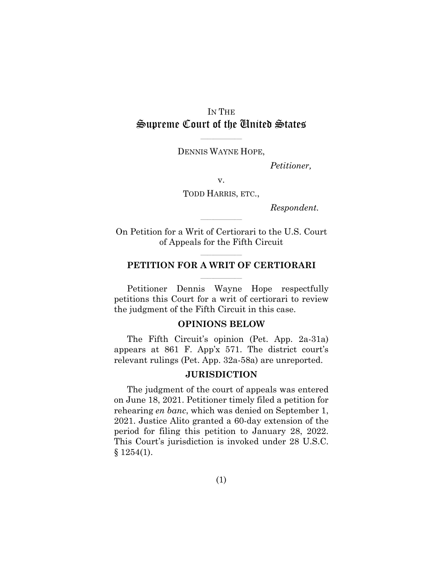## IN THE Supreme Court of the United States

\_\_\_\_\_\_\_\_\_\_\_\_\_\_\_\_\_\_\_\_\_\_\_ DENNIS WAYNE HOPE,

*Petitioner,* 

v.

TODD HARRIS, ETC.,

*Respondent.*

On Petition for a Writ of Certiorari to the U.S. Court of Appeals for the Fifth Circuit

\_\_\_\_\_\_\_\_\_\_\_\_\_\_\_\_\_\_\_\_\_\_\_

#### \_\_\_\_\_\_\_\_\_\_\_\_\_\_\_\_\_\_\_\_\_\_\_ **PETITION FOR A WRIT OF CERTIORARI**   $\mathcal{L}_\text{max}$

Petitioner Dennis Wayne Hope respectfully petitions this Court for a writ of certiorari to review the judgment of the Fifth Circuit in this case.

#### **OPINIONS BELOW**

The Fifth Circuit's opinion (Pet. App. 2a-31a) appears at 861 F. App'x 571. The district court's relevant rulings (Pet. App. 32a-58a) are unreported.

#### **JURISDICTION**

The judgment of the court of appeals was entered on June 18, 2021. Petitioner timely filed a petition for rehearing *en banc*, which was denied on September 1, 2021. Justice Alito granted a 60-day extension of the period for filing this petition to January 28, 2022. This Court's jurisdiction is invoked under 28 U.S.C.  $§ 1254(1).$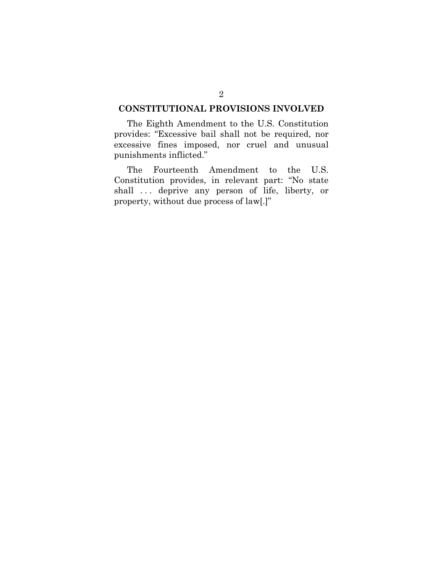### **CONSTITUTIONAL PROVISIONS INVOLVED**

The Eighth Amendment to the U.S. Constitution provides: "Excessive bail shall not be required, nor excessive fines imposed, nor cruel and unusual punishments inflicted."

The Fourteenth Amendment to the U.S. Constitution provides, in relevant part: "No state shall . . . deprive any person of life, liberty, or property, without due process of law[.]"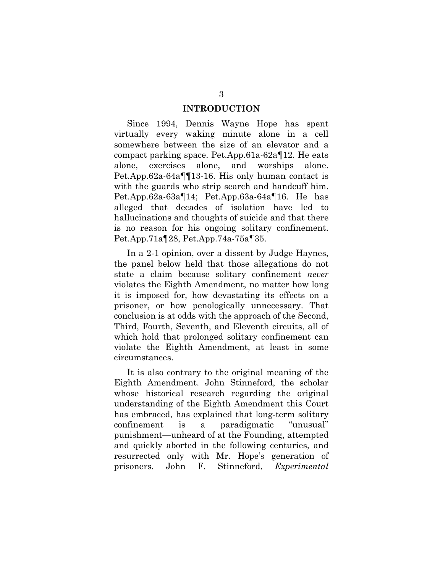#### **INTRODUCTION**

Since 1994, Dennis Wayne Hope has spent virtually every waking minute alone in a cell somewhere between the size of an elevator and a compact parking space. Pet.App.61a-62a¶12. He eats alone, exercises alone, and worships alone. Pet.App.62a-64a¶¶13-16. His only human contact is with the guards who strip search and handcuff him. Pet.App.62a-63a¶14; Pet.App.63a-64a¶16. He has alleged that decades of isolation have led to hallucinations and thoughts of suicide and that there is no reason for his ongoing solitary confinement. Pet.App.71a¶28, Pet.App.74a-75a¶35.

In a 2-1 opinion, over a dissent by Judge Haynes, the panel below held that those allegations do not state a claim because solitary confinement *never* violates the Eighth Amendment, no matter how long it is imposed for, how devastating its effects on a prisoner, or how penologically unnecessary. That conclusion is at odds with the approach of the Second, Third, Fourth, Seventh, and Eleventh circuits, all of which hold that prolonged solitary confinement can violate the Eighth Amendment, at least in some circumstances.

It is also contrary to the original meaning of the Eighth Amendment. John Stinneford, the scholar whose historical research regarding the original understanding of the Eighth Amendment this Court has embraced, has explained that long-term solitary confinement is a paradigmatic "unusual" punishment—unheard of at the Founding, attempted and quickly aborted in the following centuries, and resurrected only with Mr. Hope's generation of prisoners. John F. Stinneford, *Experimental*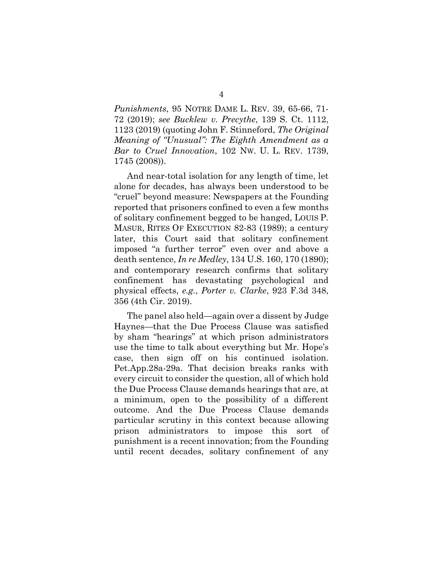*Punishments*, 95 NOTRE DAME L. REV. 39, 65-66, 71- 72 (2019); *see Bucklew v. Precythe*, 139 S. Ct. 1112, 1123 (2019) (quoting John F. Stinneford, *The Original Meaning of "Unusual": The Eighth Amendment as a Bar to Cruel Innovation*, 102 NW. U. L. REV. 1739, 1745 (2008)).

And near-total isolation for any length of time, let alone for decades, has always been understood to be "cruel" beyond measure: Newspapers at the Founding reported that prisoners confined to even a few months of solitary confinement begged to be hanged, LOUIS P. MASUR, RITES OF EXECUTION 82-83 (1989); a century later, this Court said that solitary confinement imposed "a further terror" even over and above a death sentence, *In re Medley*, 134 U.S. 160, 170 (1890); and contemporary research confirms that solitary confinement has devastating psychological and physical effects, *e.g.*, *Porter v. Clarke*, 923 F.3d 348, 356 (4th Cir. 2019).

The panel also held—again over a dissent by Judge Haynes—that the Due Process Clause was satisfied by sham "hearings" at which prison administrators use the time to talk about everything but Mr. Hope's case, then sign off on his continued isolation. Pet.App.28a-29a. That decision breaks ranks with every circuit to consider the question, all of which hold the Due Process Clause demands hearings that are, at a minimum, open to the possibility of a different outcome. And the Due Process Clause demands particular scrutiny in this context because allowing prison administrators to impose this sort of punishment is a recent innovation; from the Founding until recent decades, solitary confinement of any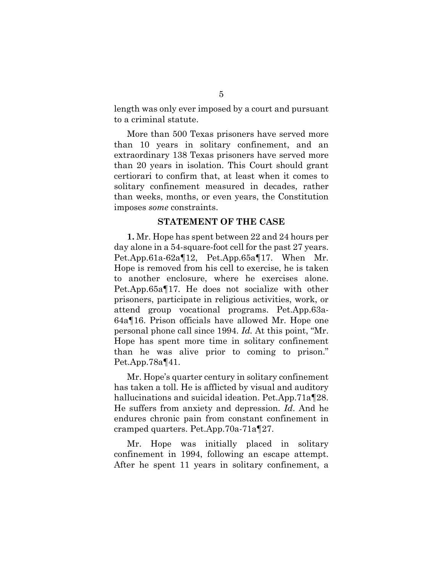length was only ever imposed by a court and pursuant to a criminal statute.

More than 500 Texas prisoners have served more than 10 years in solitary confinement, and an extraordinary 138 Texas prisoners have served more than 20 years in isolation. This Court should grant certiorari to confirm that, at least when it comes to solitary confinement measured in decades, rather than weeks, months, or even years, the Constitution imposes *some* constraints.

#### **STATEMENT OF THE CASE**

**1.** Mr. Hope has spent between 22 and 24 hours per day alone in a 54-square-foot cell for the past 27 years. Pet.App.61a-62a¶12, Pet.App.65a¶17. When Mr. Hope is removed from his cell to exercise, he is taken to another enclosure, where he exercises alone. Pet.App.65a¶17. He does not socialize with other prisoners, participate in religious activities, work, or attend group vocational programs. Pet.App.63a-64a¶16. Prison officials have allowed Mr. Hope one personal phone call since 1994. *Id.* At this point, "Mr. Hope has spent more time in solitary confinement than he was alive prior to coming to prison." Pet.App.78a¶41.

Mr. Hope's quarter century in solitary confinement has taken a toll. He is afflicted by visual and auditory hallucinations and suicidal ideation. Pet.App.71a¶28. He suffers from anxiety and depression. *Id*. And he endures chronic pain from constant confinement in cramped quarters. Pet.App.70a-71a¶27.

Mr. Hope was initially placed in solitary confinement in 1994, following an escape attempt. After he spent 11 years in solitary confinement, a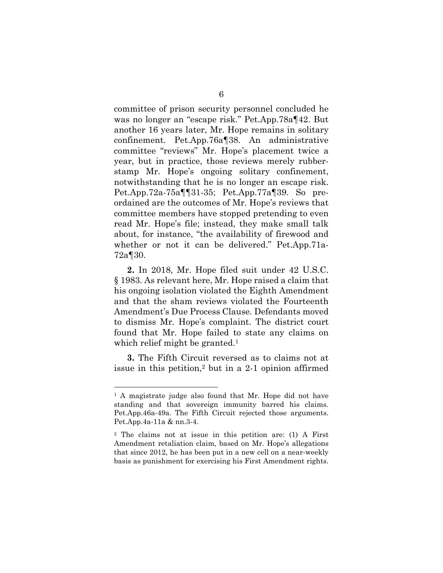committee of prison security personnel concluded he was no longer an "escape risk." Pet.App.78a¶42. But another 16 years later, Mr. Hope remains in solitary confinement. Pet.App.76a¶38. An administrative committee "reviews" Mr. Hope's placement twice a year, but in practice, those reviews merely rubberstamp Mr. Hope's ongoing solitary confinement, notwithstanding that he is no longer an escape risk. Pet.App.72a-75a¶¶31-35; Pet.App.77a¶39. So preordained are the outcomes of Mr. Hope's reviews that committee members have stopped pretending to even read Mr. Hope's file; instead, they make small talk about, for instance, "the availability of firewood and whether or not it can be delivered." Pet.App.71a-72a¶30.

**2.** In 2018, Mr. Hope filed suit under 42 U.S.C. § 1983. As relevant here, Mr. Hope raised a claim that his ongoing isolation violated the Eighth Amendment and that the sham reviews violated the Fourteenth Amendment's Due Process Clause. Defendants moved to dismiss Mr. Hope's complaint. The district court found that Mr. Hope failed to state any claims on which relief might be granted.<sup>1</sup>

**3.** The Fifth Circuit reversed as to claims not at issue in this petition,<sup>2</sup> but in a  $2-1$  opinion affirmed

l

<sup>1</sup> A magistrate judge also found that Mr. Hope did not have standing and that sovereign immunity barred his claims. Pet.App.46a-49a. The Fifth Circuit rejected those arguments. Pet.App.4a-11a & nn.3-4.

<sup>2</sup> The claims not at issue in this petition are: (1) A First Amendment retaliation claim, based on Mr. Hope's allegations that since 2012, he has been put in a new cell on a near-weekly basis as punishment for exercising his First Amendment rights.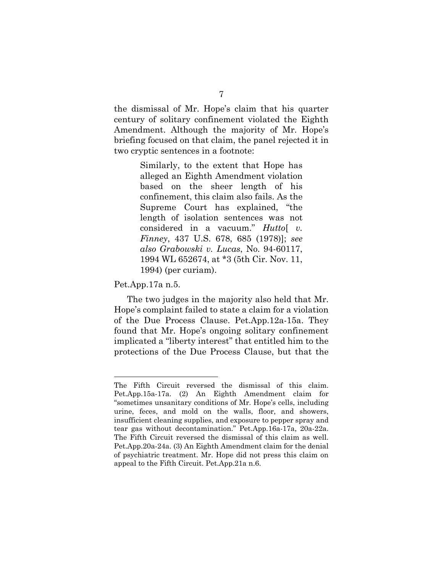the dismissal of Mr. Hope's claim that his quarter century of solitary confinement violated the Eighth Amendment. Although the majority of Mr. Hope's briefing focused on that claim, the panel rejected it in two cryptic sentences in a footnote:

> Similarly, to the extent that Hope has alleged an Eighth Amendment violation based on the sheer length of his confinement, this claim also fails. As the Supreme Court has explained, "the length of isolation sentences was not considered in a vacuum." *Hutto*[ *v. Finney*, 437 U.S. 678, 685 (1978)]; *see also Grabowski v. Lucas*, No. 94-60117, 1994 WL 652674, at \*3 (5th Cir. Nov. 11, 1994) (per curiam).

Pet.App.17a n.5.

l

The two judges in the majority also held that Mr. Hope's complaint failed to state a claim for a violation of the Due Process Clause. Pet.App.12a-15a. They found that Mr. Hope's ongoing solitary confinement implicated a "liberty interest" that entitled him to the protections of the Due Process Clause, but that the

The Fifth Circuit reversed the dismissal of this claim. Pet.App.15a-17a. (2) An Eighth Amendment claim for "sometimes unsanitary conditions of Mr. Hope's cells, including urine, feces, and mold on the walls, floor, and showers, insufficient cleaning supplies, and exposure to pepper spray and tear gas without decontamination." Pet.App.16a-17a, 20a-22a. The Fifth Circuit reversed the dismissal of this claim as well. Pet.App.20a-24a. (3) An Eighth Amendment claim for the denial of psychiatric treatment. Mr. Hope did not press this claim on appeal to the Fifth Circuit. Pet.App.21a n.6.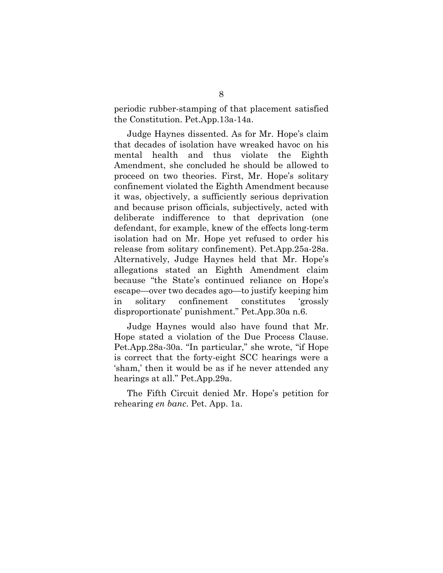periodic rubber-stamping of that placement satisfied the Constitution. Pet.App.13a-14a.

Judge Haynes dissented. As for Mr. Hope's claim that decades of isolation have wreaked havoc on his mental health and thus violate the Eighth Amendment, she concluded he should be allowed to proceed on two theories. First, Mr. Hope's solitary confinement violated the Eighth Amendment because it was, objectively, a sufficiently serious deprivation and because prison officials, subjectively, acted with deliberate indifference to that deprivation (one defendant, for example, knew of the effects long-term isolation had on Mr. Hope yet refused to order his release from solitary confinement). Pet.App.25a-28a. Alternatively, Judge Haynes held that Mr. Hope's allegations stated an Eighth Amendment claim because "the State's continued reliance on Hope's escape—over two decades ago—to justify keeping him in solitary confinement constitutes 'grossly disproportionate' punishment." Pet.App.30a n.6.

Judge Haynes would also have found that Mr. Hope stated a violation of the Due Process Clause. Pet.App.28a-30a. "In particular," she wrote, "if Hope is correct that the forty-eight SCC hearings were a 'sham,' then it would be as if he never attended any hearings at all." Pet.App.29a.

The Fifth Circuit denied Mr. Hope's petition for rehearing *en banc*. Pet. App. 1a.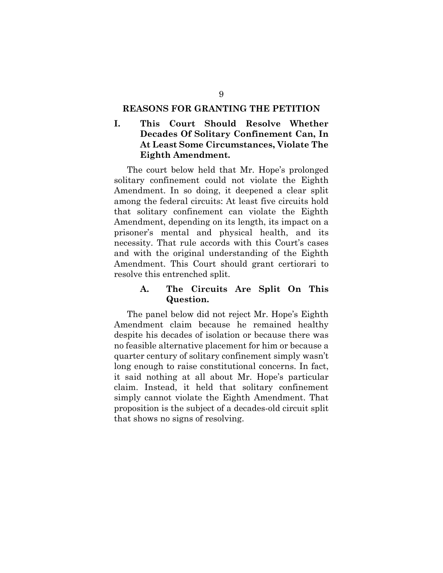#### **REASONS FOR GRANTING THE PETITION**

## **I. This Court Should Resolve Whether Decades Of Solitary Confinement Can, In At Least Some Circumstances, Violate The Eighth Amendment.**

The court below held that Mr. Hope's prolonged solitary confinement could not violate the Eighth Amendment. In so doing, it deepened a clear split among the federal circuits: At least five circuits hold that solitary confinement can violate the Eighth Amendment, depending on its length, its impact on a prisoner's mental and physical health, and its necessity. That rule accords with this Court's cases and with the original understanding of the Eighth Amendment. This Court should grant certiorari to resolve this entrenched split.

## **A. The Circuits Are Split On This Question.**

The panel below did not reject Mr. Hope's Eighth Amendment claim because he remained healthy despite his decades of isolation or because there was no feasible alternative placement for him or because a quarter century of solitary confinement simply wasn't long enough to raise constitutional concerns. In fact, it said nothing at all about Mr. Hope's particular claim. Instead, it held that solitary confinement simply cannot violate the Eighth Amendment. That proposition is the subject of a decades-old circuit split that shows no signs of resolving.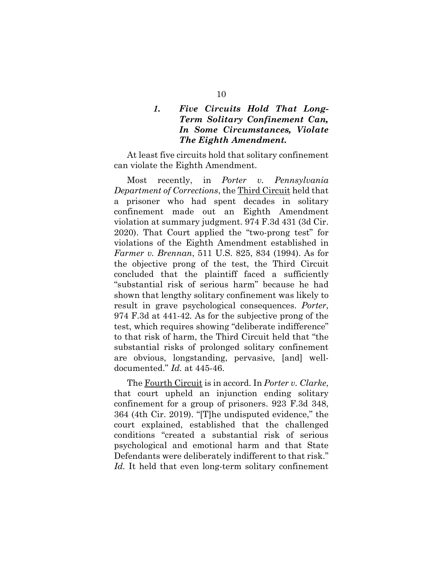## *1. Five Circuits Hold That Long-Term Solitary Confinement Can, In Some Circumstances, Violate The Eighth Amendment.*

At least five circuits hold that solitary confinement can violate the Eighth Amendment.

Most recently, in *Porter v. Pennsylvania Department of Corrections*, the Third Circuit held that a prisoner who had spent decades in solitary confinement made out an Eighth Amendment violation at summary judgment. 974 F.3d 431 (3d Cir. 2020). That Court applied the "two-prong test" for violations of the Eighth Amendment established in *Farmer v. Brennan*, 511 U.S. 825, 834 (1994). As for the objective prong of the test, the Third Circuit concluded that the plaintiff faced a sufficiently "substantial risk of serious harm" because he had shown that lengthy solitary confinement was likely to result in grave psychological consequences. *Porter*, 974 F.3d at 441-42*.* As for the subjective prong of the test, which requires showing "deliberate indifference" to that risk of harm, the Third Circuit held that "the substantial risks of prolonged solitary confinement are obvious, longstanding, pervasive, [and] welldocumented." *Id.* at 445-46.

The Fourth Circuit is in accord. In *Porter v. Clarke*, that court upheld an injunction ending solitary confinement for a group of prisoners. 923 F.3d 348, 364 (4th Cir. 2019). "[T]he undisputed evidence," the court explained, established that the challenged conditions "created a substantial risk of serious psychological and emotional harm and that State Defendants were deliberately indifferent to that risk." *Id.* It held that even long-term solitary confinement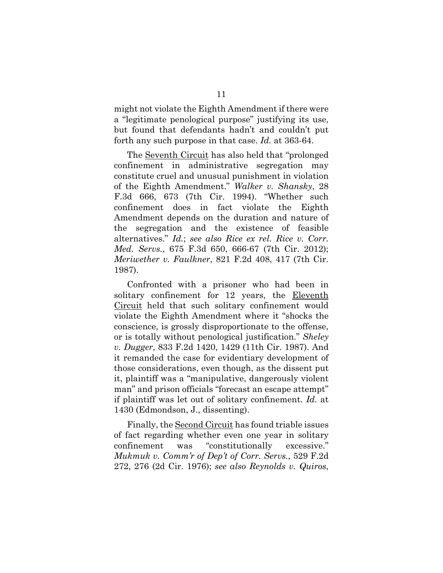might not violate the Eighth Amendment if there were a "legitimate penological purpose" justifying its use, but found that defendants hadn't and couldn't put forth any such purpose in that case. *Id.* at 363-64.

The Seventh Circuit has also held that "prolonged confinement in administrative segregation may constitute cruel and unusual punishment in violation of the Eighth Amendment." *Walker v. Shansky*, 28 F.3d 666, 673 (7th Cir. 1994). "Whether such confinement does in fact violate the Eighth Amendment depends on the duration and nature of the segregation and the existence of feasible alternatives." *Id.*; *see also Rice ex rel. Rice v. Corr. Med. Servs.*, 675 F.3d 650, 666-67 (7th Cir. 2012); *Meriwether v. Faulkner*, 821 F.2d 408, 417 (7th Cir. 1987).

Confronted with a prisoner who had been in solitary confinement for 12 years, the Eleventh Circuit held that such solitary confinement would violate the Eighth Amendment where it "shocks the conscience, is grossly disproportionate to the offense, or is totally without penological justification." *Sheley v. Dugger*, 833 F.2d 1420, 1429 (11th Cir. 1987). And it remanded the case for evidentiary development of those considerations, even though, as the dissent put it, plaintiff was a "manipulative, dangerously violent man" and prison officials "forecast an escape attempt" if plaintiff was let out of solitary confinement. *Id.* at 1430 (Edmondson, J., dissenting).

Finally, the Second Circuit has found triable issues of fact regarding whether even one year in solitary confinement was "constitutionally excessive." *Mukmuk v. Comm'r of Dep't of Corr. Servs.*, 529 F.2d 272, 276 (2d Cir. 1976); *see also Reynolds v. Quiros*,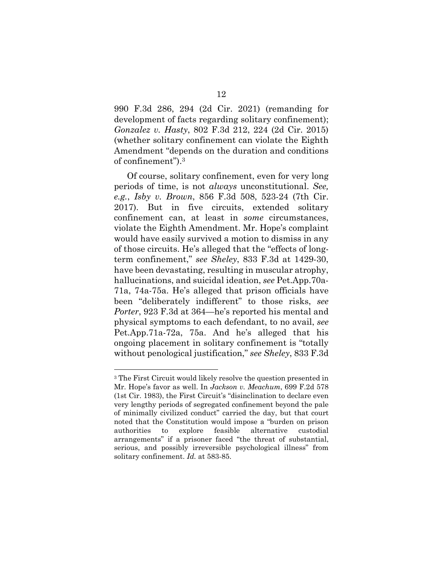990 F.3d 286, 294 (2d Cir. 2021) (remanding for development of facts regarding solitary confinement); *Gonzalez v. Hasty*, 802 F.3d 212, 224 (2d Cir. 2015) (whether solitary confinement can violate the Eighth Amendment "depends on the duration and conditions of confinement").3

Of course, solitary confinement, even for very long periods of time, is not *always* unconstitutional. *See, e.g.*, *Isby v. Brown*, 856 F.3d 508, 523-24 (7th Cir. 2017). But in five circuits, extended solitary confinement can, at least in *some* circumstances, violate the Eighth Amendment. Mr. Hope's complaint would have easily survived a motion to dismiss in any of those circuits. He's alleged that the "effects of longterm confinement," *see Sheley*, 833 F.3d at 1429-30, have been devastating, resulting in muscular atrophy, hallucinations, and suicidal ideation, *see* Pet.App.70a-71a, 74a-75a. He's alleged that prison officials have been "deliberately indifferent" to those risks, *see Porter*, 923 F.3d at 364—he's reported his mental and physical symptoms to each defendant, to no avail, *see*  Pet.App.71a-72a, 75a. And he's alleged that his ongoing placement in solitary confinement is "totally without penological justification," *see Sheley*, 833 F.3d

<sup>3</sup> The First Circuit would likely resolve the question presented in Mr. Hope's favor as well. In *Jackson v. Meachum*, 699 F.2d 578 (1st Cir. 1983), the First Circuit's "disinclination to declare even very lengthy periods of segregated confinement beyond the pale of minimally civilized conduct" carried the day, but that court noted that the Constitution would impose a "burden on prison authorities to explore feasible alternative custodial arrangements" if a prisoner faced "the threat of substantial, serious, and possibly irreversible psychological illness" from solitary confinement. *Id.* at 583-85.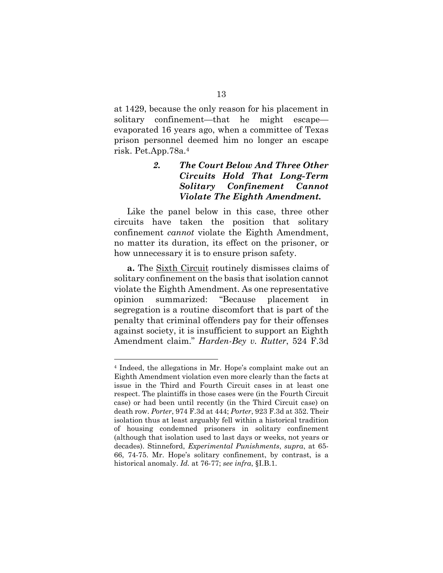at 1429, because the only reason for his placement in solitary confinement—that he might escape evaporated 16 years ago, when a committee of Texas prison personnel deemed him no longer an escape risk. Pet.App.78a.4

## *2. The Court Below And Three Other Circuits Hold That Long-Term Solitary Confinement Cannot Violate The Eighth Amendment.*

Like the panel below in this case, three other circuits have taken the position that solitary confinement *cannot* violate the Eighth Amendment, no matter its duration, its effect on the prisoner, or how unnecessary it is to ensure prison safety.

**a.** The Sixth Circuit routinely dismisses claims of solitary confinement on the basis that isolation cannot violate the Eighth Amendment. As one representative opinion summarized: "Because placement segregation is a routine discomfort that is part of the penalty that criminal offenders pay for their offenses against society, it is insufficient to support an Eighth Amendment claim." *Harden-Bey v. Rutter*, 524 F.3d

l

<sup>4</sup> Indeed, the allegations in Mr. Hope's complaint make out an Eighth Amendment violation even more clearly than the facts at issue in the Third and Fourth Circuit cases in at least one respect. The plaintiffs in those cases were (in the Fourth Circuit case) or had been until recently (in the Third Circuit case) on death row. *Porter*, 974 F.3d at 444; *Porter*, 923 F.3d at 352. Their isolation thus at least arguably fell within a historical tradition of housing condemned prisoners in solitary confinement (although that isolation used to last days or weeks, not years or decades). Stinneford, *Experimental Punishments*, *supra*, at 65- 66, 74-75. Mr. Hope's solitary confinement, by contrast, is a historical anomaly. *Id.* at 76-77; *see infra*, §I.B.1.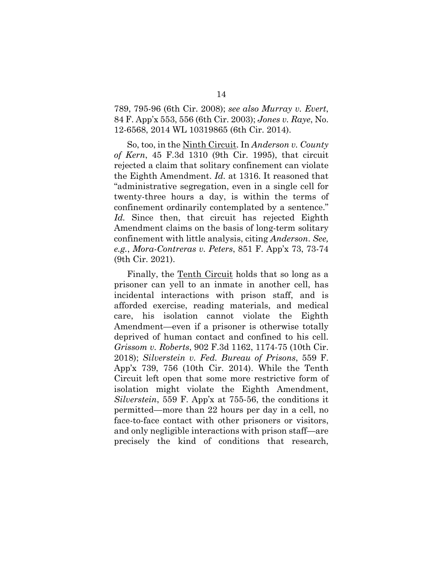789, 795-96 (6th Cir. 2008); *see also Murray v. Evert*, 84 F. App'x 553, 556 (6th Cir. 2003); *Jones v. Raye*, No. 12-6568, 2014 WL 10319865 (6th Cir. 2014).

So, too, in the Ninth Circuit. In *Anderson v. County of Kern*, 45 F.3d 1310 (9th Cir. 1995), that circuit rejected a claim that solitary confinement can violate the Eighth Amendment. *Id.* at 1316. It reasoned that "administrative segregation, even in a single cell for twenty-three hours a day, is within the terms of confinement ordinarily contemplated by a sentence." *Id.* Since then, that circuit has rejected Eighth Amendment claims on the basis of long-term solitary confinement with little analysis, citing *Anderson*. *See, e.g.*, *Mora-Contreras v. Peters*, 851 F. App'x 73, 73-74 (9th Cir. 2021).

Finally, the <u>Tenth Circuit</u> holds that so long as a prisoner can yell to an inmate in another cell, has incidental interactions with prison staff, and is afforded exercise, reading materials, and medical care, his isolation cannot violate the Eighth Amendment—even if a prisoner is otherwise totally deprived of human contact and confined to his cell. *Grissom v. Roberts*, 902 F.3d 1162, 1174-75 (10th Cir. 2018); *Silverstein v. Fed. Bureau of Prisons*, 559 F. App'x 739, 756 (10th Cir. 2014). While the Tenth Circuit left open that some more restrictive form of isolation might violate the Eighth Amendment, *Silverstein*, 559 F. App'x at 755-56, the conditions it permitted—more than 22 hours per day in a cell, no face-to-face contact with other prisoners or visitors, and only negligible interactions with prison staff—are precisely the kind of conditions that research,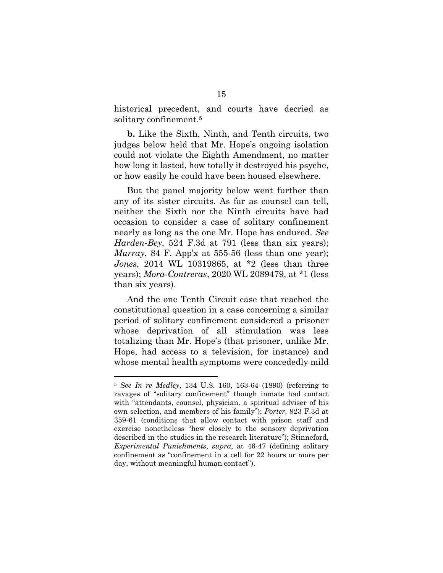historical precedent, and courts have decried as solitary confinement.5

**b.** Like the Sixth, Ninth, and Tenth circuits, two judges below held that Mr. Hope's ongoing isolation could not violate the Eighth Amendment, no matter how long it lasted, how totally it destroyed his psyche, or how easily he could have been housed elsewhere.

But the panel majority below went further than any of its sister circuits. As far as counsel can tell, neither the Sixth nor the Ninth circuits have had occasion to consider a case of solitary confinement nearly as long as the one Mr. Hope has endured. *See Harden-Bey*, 524 F.3d at 791 (less than six years); *Murray*, 84 F. App'x at 555-56 (less than one year); *Jones*, 2014 WL 10319865, at \*2 (less than three years); *Mora-Contreras*, 2020 WL 2089479, at \*1 (less than six years).

And the one Tenth Circuit case that reached the constitutional question in a case concerning a similar period of solitary confinement considered a prisoner whose deprivation of all stimulation was less totalizing than Mr. Hope's (that prisoner, unlike Mr. Hope, had access to a television, for instance) and whose mental health symptoms were concededly mild

l

<sup>5</sup> *See In re Medley*, 134 U.S. 160, 163-64 (1890) (referring to ravages of "solitary confinement" though inmate had contact with "attendants, counsel, physician, a spiritual adviser of his own selection, and members of his family"); *Porter*, 923 F.3d at 359-61 (conditions that allow contact with prison staff and exercise nonetheless "hew closely to the sensory deprivation described in the studies in the research literature"); Stinneford, *Experimental Punishments*, *supra*, at 46-47 (defining solitary confinement as "confinement in a cell for 22 hours or more per day, without meaningful human contact").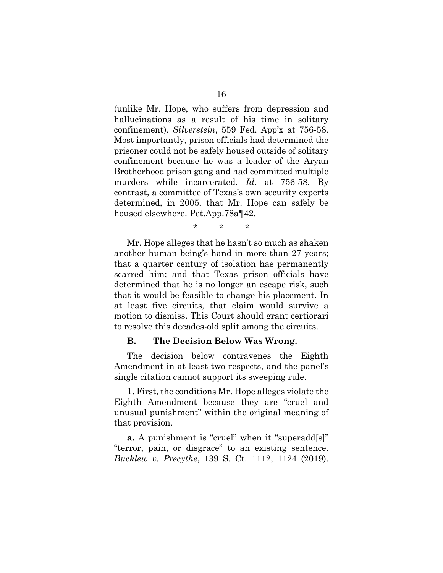(unlike Mr. Hope, who suffers from depression and hallucinations as a result of his time in solitary confinement). *Silverstein*, 559 Fed. App'x at 756-58. Most importantly, prison officials had determined the prisoner could not be safely housed outside of solitary confinement because he was a leader of the Aryan Brotherhood prison gang and had committed multiple murders while incarcerated. *Id.* at 756-58. By contrast, a committee of Texas's own security experts determined, in 2005, that Mr. Hope can safely be housed elsewhere. Pet.App.78a¶42.

\* \* \*

Mr. Hope alleges that he hasn't so much as shaken another human being's hand in more than 27 years; that a quarter century of isolation has permanently scarred him; and that Texas prison officials have determined that he is no longer an escape risk, such that it would be feasible to change his placement. In at least five circuits, that claim would survive a motion to dismiss. This Court should grant certiorari to resolve this decades-old split among the circuits.

#### **B. The Decision Below Was Wrong.**

The decision below contravenes the Eighth Amendment in at least two respects, and the panel's single citation cannot support its sweeping rule.

**1.** First, the conditions Mr. Hope alleges violate the Eighth Amendment because they are "cruel and unusual punishment" within the original meaning of that provision.

**a.** A punishment is "cruel" when it "superadd[s]" "terror, pain, or disgrace" to an existing sentence. *Bucklew v. Precythe*, 139 S. Ct. 1112, 1124 (2019).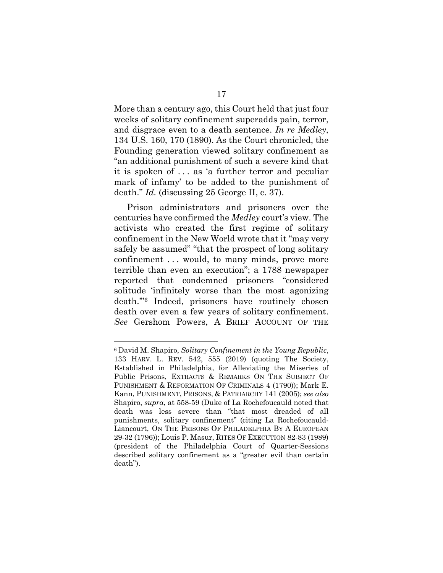More than a century ago, this Court held that just four weeks of solitary confinement superadds pain, terror, and disgrace even to a death sentence. *In re Medley*, 134 U.S. 160, 170 (1890). As the Court chronicled, the Founding generation viewed solitary confinement as "an additional punishment of such a severe kind that it is spoken of . . . as 'a further terror and peculiar mark of infamy' to be added to the punishment of death." *Id.* (discussing 25 George II, c. 37).

Prison administrators and prisoners over the centuries have confirmed the *Medley* court's view. The activists who created the first regime of solitary confinement in the New World wrote that it "may very safely be assumed" "that the prospect of long solitary confinement . . . would, to many minds, prove more terrible than even an execution"; a 1788 newspaper reported that condemned prisoners "considered solitude 'infinitely worse than the most agonizing death.'"6 Indeed, prisoners have routinely chosen death over even a few years of solitary confinement. *See* Gershom Powers, A BRIEF ACCOUNT OF THE

l

<sup>6</sup> David M. Shapiro, *Solitary Confinement in the Young Republic*, 133 HARV. L. REV. 542, 555 (2019) (quoting The Society, Established in Philadelphia, for Alleviating the Miseries of Public Prisons, EXTRACTS & REMARKS ON THE SUBJECT OF PUNISHMENT & REFORMATION OF CRIMINALS 4 (1790)); Mark E. Kann, PUNISHMENT, PRISONS, & PATRIARCHY 141 (2005); *see also* Shapiro, *supra*, at 558-59 (Duke of La Rochefoucauld noted that death was less severe than "that most dreaded of all punishments, solitary confinement" (citing La Rochefoucauld-Liancourt, ON THE PRISONS OF PHILADELPHIA BY A EUROPEAN 29-32 (1796)); Louis P. Masur, RITES OF EXECUTION 82-83 (1989) (president of the Philadelphia Court of Quarter-Sessions described solitary confinement as a "greater evil than certain death").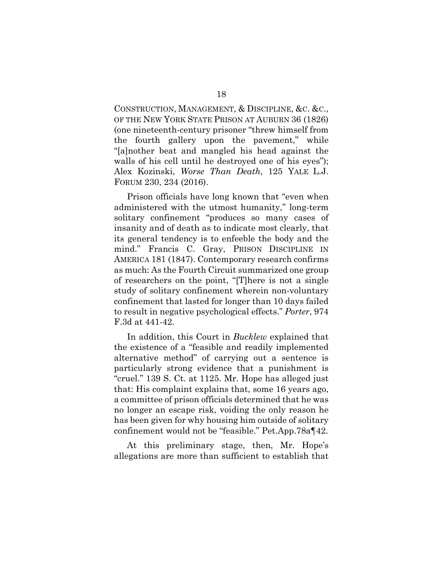CONSTRUCTION, MANAGEMENT, & DISCIPLINE, &C. &C., OF THE NEW YORK STATE PRISON AT AUBURN 36 (1826) (one nineteenth-century prisoner "threw himself from the fourth gallery upon the pavement," while "[a]nother beat and mangled his head against the walls of his cell until he destroyed one of his eyes"); Alex Kozinski, *Worse Than Death*, 125 YALE L.J. FORUM 230, 234 (2016).

Prison officials have long known that "even when administered with the utmost humanity," long-term solitary confinement "produces so many cases of insanity and of death as to indicate most clearly, that its general tendency is to enfeeble the body and the mind." Francis C. Gray, PRISON DISCIPLINE IN AMERICA 181 (1847). Contemporary research confirms as much: As the Fourth Circuit summarized one group of researchers on the point, "[T]here is not a single study of solitary confinement wherein non-voluntary confinement that lasted for longer than 10 days failed to result in negative psychological effects." *Porter*, 974 F.3d at 441-42.

In addition, this Court in *Bucklew* explained that the existence of a "feasible and readily implemented alternative method" of carrying out a sentence is particularly strong evidence that a punishment is "cruel." 139 S. Ct. at 1125. Mr. Hope has alleged just that: His complaint explains that, some 16 years ago, a committee of prison officials determined that he was no longer an escape risk, voiding the only reason he has been given for why housing him outside of solitary confinement would not be "feasible." Pet.App.78a¶42.

At this preliminary stage, then, Mr. Hope's allegations are more than sufficient to establish that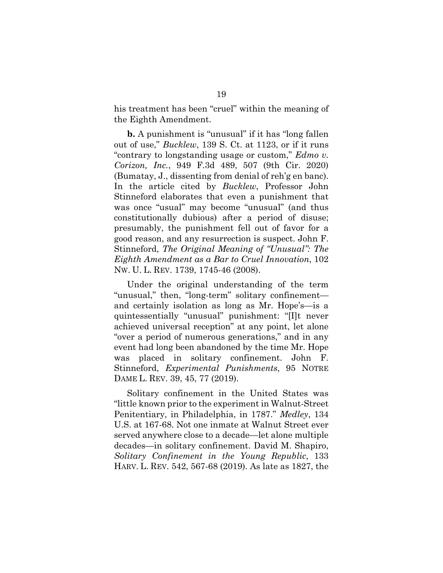his treatment has been "cruel" within the meaning of the Eighth Amendment.

**b.** A punishment is "unusual" if it has "long fallen out of use," *Bucklew*, 139 S. Ct. at 1123, or if it runs "contrary to longstanding usage or custom," *Edmo v. Corizon, Inc.*, 949 F.3d 489, 507 (9th Cir. 2020) (Bumatay, J., dissenting from denial of reh'g en banc). In the article cited by *Bucklew*, Professor John Stinneford elaborates that even a punishment that was once "usual" may become "unusual" (and thus constitutionally dubious) after a period of disuse; presumably, the punishment fell out of favor for a good reason, and any resurrection is suspect. John F. Stinneford, *The Original Meaning of "Unusual": The Eighth Amendment as a Bar to Cruel Innovation*, 102 NW. U. L. REV. 1739, 1745-46 (2008).

Under the original understanding of the term "unusual," then, "long-term" solitary confinement and certainly isolation as long as Mr. Hope's—is a quintessentially "unusual" punishment: "[I]t never achieved universal reception" at any point, let alone "over a period of numerous generations," and in any event had long been abandoned by the time Mr. Hope was placed in solitary confinement. John F. Stinneford, *Experimental Punishments*, 95 NOTRE DAME L. REV. 39, 45, 77 (2019).

Solitary confinement in the United States was "little known prior to the experiment in Walnut-Street Penitentiary, in Philadelphia, in 1787." *Medley*, 134 U.S. at 167-68. Not one inmate at Walnut Street ever served anywhere close to a decade—let alone multiple decades—in solitary confinement. David M. Shapiro, *Solitary Confinement in the Young Republic*, 133 HARV. L. REV. 542, 567-68 (2019). As late as 1827, the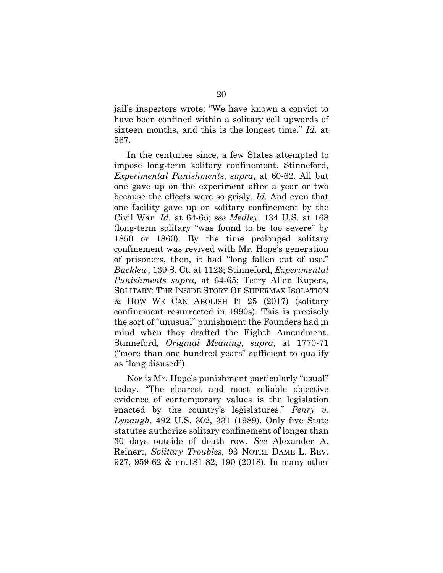jail's inspectors wrote: "We have known a convict to have been confined within a solitary cell upwards of sixteen months, and this is the longest time." *Id.* at 567.

In the centuries since, a few States attempted to impose long-term solitary confinement. Stinneford, *Experimental Punishments*, *supra*, at 60-62. All but one gave up on the experiment after a year or two because the effects were so grisly. *Id.* And even that one facility gave up on solitary confinement by the Civil War. *Id.* at 64-65; *see Medley*, 134 U.S. at 168 (long-term solitary "was found to be too severe" by 1850 or 1860). By the time prolonged solitary confinement was revived with Mr. Hope's generation of prisoners, then, it had "long fallen out of use." *Bucklew*, 139 S. Ct. at 1123; Stinneford, *Experimental Punishments supra*, at 64-65; Terry Allen Kupers, SOLITARY: THE INSIDE STORY OF SUPERMAX ISOLATION & HOW WE CAN ABOLISH IT 25 (2017) (solitary confinement resurrected in 1990s). This is precisely the sort of "unusual" punishment the Founders had in mind when they drafted the Eighth Amendment. Stinneford, *Original Meaning*, *supra*, at 1770-71 ("more than one hundred years" sufficient to qualify as "long disused").

Nor is Mr. Hope's punishment particularly "usual" today. "The clearest and most reliable objective evidence of contemporary values is the legislation enacted by the country's legislatures." *Penry v. Lynaugh*, 492 U.S. 302, 331 (1989). Only five State statutes authorize solitary confinement of longer than 30 days outside of death row. *See* Alexander A. Reinert, *Solitary Troubles*, 93 NOTRE DAME L. REV. 927, 959-62 & nn.181-82, 190 (2018). In many other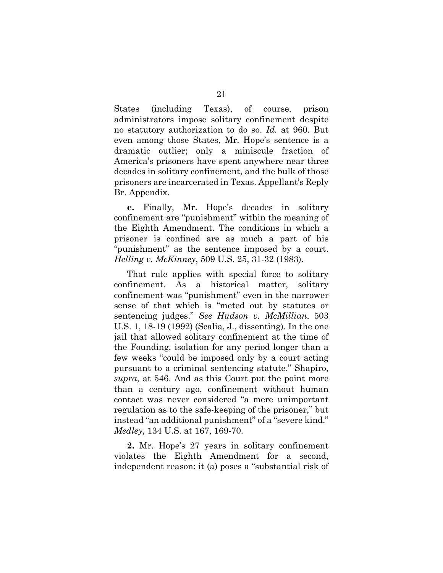States (including Texas), of course, prison administrators impose solitary confinement despite no statutory authorization to do so. *Id.* at 960. But even among those States, Mr. Hope's sentence is a dramatic outlier; only a miniscule fraction of America's prisoners have spent anywhere near three decades in solitary confinement, and the bulk of those prisoners are incarcerated in Texas. Appellant's Reply Br. Appendix.

**c.** Finally, Mr. Hope's decades in solitary confinement are "punishment" within the meaning of the Eighth Amendment. The conditions in which a prisoner is confined are as much a part of his "punishment" as the sentence imposed by a court. *Helling v. McKinney*, 509 U.S. 25, 31-32 (1983).

That rule applies with special force to solitary confinement. As a historical matter, solitary confinement was "punishment" even in the narrower sense of that which is "meted out by statutes or sentencing judges." *See Hudson v. McMillian*, 503 U.S. 1, 18-19 (1992) (Scalia, J., dissenting). In the one jail that allowed solitary confinement at the time of the Founding, isolation for any period longer than a few weeks "could be imposed only by a court acting pursuant to a criminal sentencing statute." Shapiro, *supra*, at 546. And as this Court put the point more than a century ago, confinement without human contact was never considered "a mere unimportant regulation as to the safe-keeping of the prisoner," but instead "an additional punishment" of a "severe kind." *Medley*, 134 U.S. at 167, 169-70.

**2.** Mr. Hope's 27 years in solitary confinement violates the Eighth Amendment for a second, independent reason: it (a) poses a "substantial risk of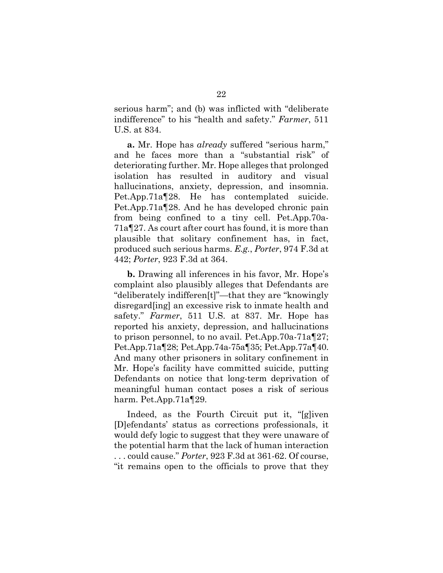serious harm"; and (b) was inflicted with "deliberate indifference" to his "health and safety." *Farmer*, 511 U.S. at 834.

**a.** Mr. Hope has *already* suffered "serious harm," and he faces more than a "substantial risk" of deteriorating further. Mr. Hope alleges that prolonged isolation has resulted in auditory and visual hallucinations, anxiety, depression, and insomnia. Pet.App.71a¶28. He has contemplated suicide. Pet.App.71a¶28. And he has developed chronic pain from being confined to a tiny cell. Pet.App.70a-71a¶27. As court after court has found, it is more than plausible that solitary confinement has, in fact, produced such serious harms. *E.g.*, *Porter*, 974 F.3d at 442; *Porter*, 923 F.3d at 364.

**b.** Drawing all inferences in his favor, Mr. Hope's complaint also plausibly alleges that Defendants are "deliberately indifferen[t]"—that they are "knowingly disregard[ing] an excessive risk to inmate health and safety." *Farmer*, 511 U.S. at 837. Mr. Hope has reported his anxiety, depression, and hallucinations to prison personnel, to no avail. Pet.App.70a-71a¶27; Pet.App.71a¶28; Pet.App.74a-75a¶35; Pet.App.77a¶40. And many other prisoners in solitary confinement in Mr. Hope's facility have committed suicide, putting Defendants on notice that long-term deprivation of meaningful human contact poses a risk of serious harm. Pet.App.71a¶29.

Indeed, as the Fourth Circuit put it, "[g]iven [D]efendants' status as corrections professionals, it would defy logic to suggest that they were unaware of the potential harm that the lack of human interaction . . . could cause." *Porter*, 923 F.3d at 361-62. Of course, "it remains open to the officials to prove that they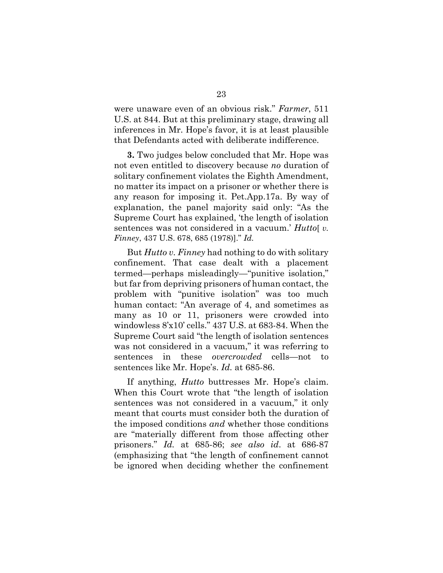were unaware even of an obvious risk." *Farmer*, 511 U.S. at 844. But at this preliminary stage, drawing all inferences in Mr. Hope's favor, it is at least plausible that Defendants acted with deliberate indifference.

**3.** Two judges below concluded that Mr. Hope was not even entitled to discovery because *no* duration of solitary confinement violates the Eighth Amendment, no matter its impact on a prisoner or whether there is any reason for imposing it. Pet.App.17a. By way of explanation, the panel majority said only: "As the Supreme Court has explained, 'the length of isolation sentences was not considered in a vacuum.' *Hutto*[*v. Finney*, 437 U.S. 678, 685 (1978)]." *Id.*

But *Hutto v. Finney* had nothing to do with solitary confinement. That case dealt with a placement termed—perhaps misleadingly—"punitive isolation," but far from depriving prisoners of human contact, the problem with "punitive isolation" was too much human contact: "An average of 4, and sometimes as many as 10 or 11, prisoners were crowded into windowless 8'x10' cells." 437 U.S. at 683-84. When the Supreme Court said "the length of isolation sentences was not considered in a vacuum," it was referring to sentences in these *overcrowded* cells—not to sentences like Mr. Hope's. *Id.* at 685-86.

If anything, *Hutto* buttresses Mr. Hope's claim. When this Court wrote that "the length of isolation sentences was not considered in a vacuum," it only meant that courts must consider both the duration of the imposed conditions *and* whether those conditions are "materially different from those affecting other prisoners." *Id.* at 685-86; *see also id*. at 686-87 (emphasizing that "the length of confinement cannot be ignored when deciding whether the confinement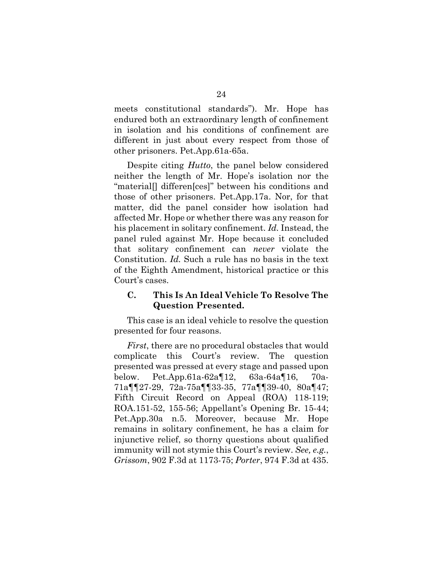meets constitutional standards"). Mr. Hope has endured both an extraordinary length of confinement in isolation and his conditions of confinement are different in just about every respect from those of other prisoners. Pet.App.61a-65a.

Despite citing *Hutto*, the panel below considered neither the length of Mr. Hope's isolation nor the "material[] differen[ces]" between his conditions and those of other prisoners. Pet.App.17a. Nor, for that matter, did the panel consider how isolation had affected Mr. Hope or whether there was any reason for his placement in solitary confinement. *Id.* Instead, the panel ruled against Mr. Hope because it concluded that solitary confinement can *never* violate the Constitution. *Id.* Such a rule has no basis in the text of the Eighth Amendment, historical practice or this Court's cases.

## **C. This Is An Ideal Vehicle To Resolve The Question Presented.**

This case is an ideal vehicle to resolve the question presented for four reasons.

*First*, there are no procedural obstacles that would complicate this Court's review. The question presented was pressed at every stage and passed upon below. Pet.App.61a-62a¶12, 63a-64a¶16, 70a-71a¶¶27-29, 72a-75a¶¶33-35, 77a¶¶39-40, 80a¶47; Fifth Circuit Record on Appeal (ROA) 118-119; ROA.151-52, 155-56; Appellant's Opening Br. 15-44; Pet.App.30a n.5. Moreover, because Mr. Hope remains in solitary confinement, he has a claim for injunctive relief, so thorny questions about qualified immunity will not stymie this Court's review. *See, e.g.*, *Grissom*, 902 F.3d at 1173-75; *Porter*, 974 F.3d at 435.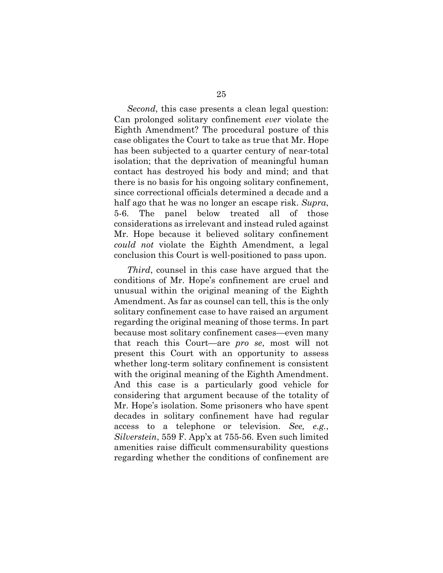*Second*, this case presents a clean legal question: Can prolonged solitary confinement *ever* violate the Eighth Amendment? The procedural posture of this case obligates the Court to take as true that Mr. Hope has been subjected to a quarter century of near-total isolation; that the deprivation of meaningful human contact has destroyed his body and mind; and that there is no basis for his ongoing solitary confinement, since correctional officials determined a decade and a half ago that he was no longer an escape risk. *Supra*, 5-6. The panel below treated all of those considerations as irrelevant and instead ruled against Mr. Hope because it believed solitary confinement *could not* violate the Eighth Amendment, a legal conclusion this Court is well-positioned to pass upon.

*Third*, counsel in this case have argued that the conditions of Mr. Hope's confinement are cruel and unusual within the original meaning of the Eighth Amendment. As far as counsel can tell, this is the only solitary confinement case to have raised an argument regarding the original meaning of those terms. In part because most solitary confinement cases—even many that reach this Court—are *pro se*, most will not present this Court with an opportunity to assess whether long-term solitary confinement is consistent with the original meaning of the Eighth Amendment. And this case is a particularly good vehicle for considering that argument because of the totality of Mr. Hope's isolation. Some prisoners who have spent decades in solitary confinement have had regular access to a telephone or television. *See, e.g.*, *Silverstein*, 559 F. App'x at 755-56. Even such limited amenities raise difficult commensurability questions regarding whether the conditions of confinement are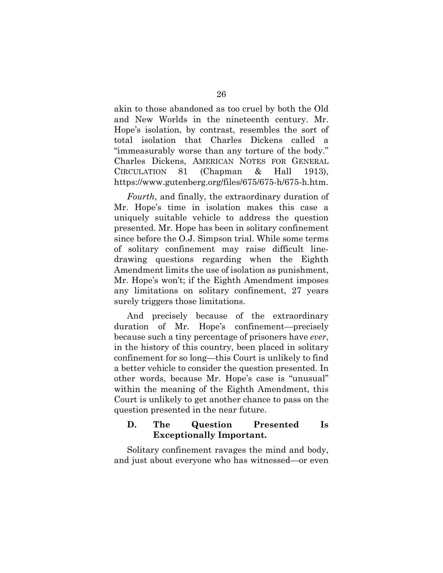akin to those abandoned as too cruel by both the Old and New Worlds in the nineteenth century. Mr. Hope's isolation, by contrast, resembles the sort of total isolation that Charles Dickens called a "immeasurably worse than any torture of the body." Charles Dickens, AMERICAN NOTES FOR GENERAL CIRCULATION 81 (Chapman & Hall 1913), https://www.gutenberg.org/files/675/675-h/675-h.htm.

*Fourth*, and finally, the extraordinary duration of Mr. Hope's time in isolation makes this case a uniquely suitable vehicle to address the question presented. Mr. Hope has been in solitary confinement since before the O.J. Simpson trial. While some terms of solitary confinement may raise difficult linedrawing questions regarding when the Eighth Amendment limits the use of isolation as punishment, Mr. Hope's won't; if the Eighth Amendment imposes any limitations on solitary confinement, 27 years surely triggers those limitations.

And precisely because of the extraordinary duration of Mr. Hope's confinement—precisely because such a tiny percentage of prisoners have *ever*, in the history of this country, been placed in solitary confinement for so long—this Court is unlikely to find a better vehicle to consider the question presented. In other words, because Mr. Hope's case is "unusual" within the meaning of the Eighth Amendment, this Court is unlikely to get another chance to pass on the question presented in the near future.

### **D. The Question Presented Is Exceptionally Important.**

Solitary confinement ravages the mind and body, and just about everyone who has witnessed—or even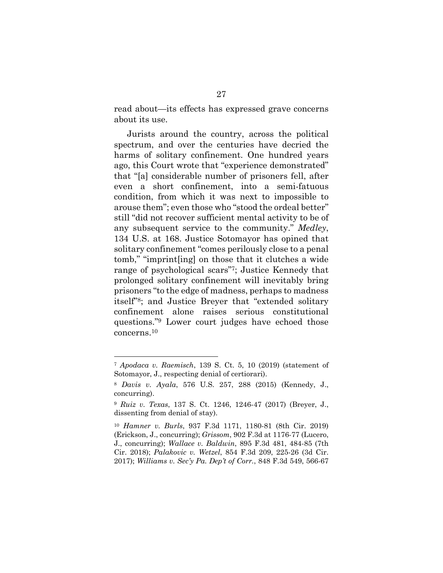read about—its effects has expressed grave concerns about its use.

Jurists around the country, across the political spectrum, and over the centuries have decried the harms of solitary confinement. One hundred years ago, this Court wrote that "experience demonstrated" that "[a] considerable number of prisoners fell, after even a short confinement, into a semi-fatuous condition, from which it was next to impossible to arouse them"; even those who "stood the ordeal better" still "did not recover sufficient mental activity to be of any subsequent service to the community." *Medley*, 134 U.S. at 168. Justice Sotomayor has opined that solitary confinement "comes perilously close to a penal tomb," "imprint[ing] on those that it clutches a wide range of psychological scars"7; Justice Kennedy that prolonged solitary confinement will inevitably bring prisoners "to the edge of madness, perhaps to madness itself"8; and Justice Breyer that "extended solitary confinement alone raises serious constitutional questions."9 Lower court judges have echoed those concerns.10

<sup>7</sup> *Apodaca v. Raemisch*, 139 S. Ct. 5, 10 (2019) (statement of Sotomayor, J., respecting denial of certiorari).

<sup>8</sup> *Davis v. Ayala*, 576 U.S. 257, 288 (2015) (Kennedy, J., concurring).

<sup>9</sup> *Ruiz v. Texas*, 137 S. Ct. 1246, 1246-47 (2017) (Breyer, J., dissenting from denial of stay).

<sup>10</sup> *Hamner v. Burls*, 937 F.3d 1171, 1180-81 (8th Cir. 2019) (Erickson, J., concurring); *Grissom*, 902 F.3d at 1176-77 (Lucero, J., concurring); *Wallace v. Baldwin*, 895 F.3d 481, 484-85 (7th Cir. 2018); *Palakovic v. Wetzel*, 854 F.3d 209, 225-26 (3d Cir. 2017); *Williams v. Sec'y Pa. Dep't of Corr.*, 848 F.3d 549, 566-67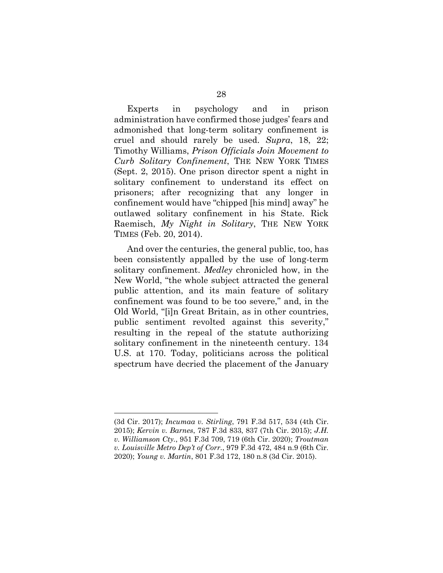Experts in psychology and in prison administration have confirmed those judges' fears and admonished that long-term solitary confinement is cruel and should rarely be used. *Supra*, 18, 22; Timothy Williams, *Prison Officials Join Movement to Curb Solitary Confinement*, THE NEW YORK TIMES (Sept. 2, 2015). One prison director spent a night in solitary confinement to understand its effect on prisoners; after recognizing that any longer in confinement would have "chipped [his mind] away" he outlawed solitary confinement in his State. Rick Raemisch, *My Night in Solitary*, THE NEW YORK TIMES (Feb. 20, 2014).

And over the centuries, the general public, too, has been consistently appalled by the use of long-term solitary confinement. *Medley* chronicled how, in the New World, "the whole subject attracted the general public attention, and its main feature of solitary confinement was found to be too severe," and, in the Old World, "[i]n Great Britain, as in other countries, public sentiment revolted against this severity," resulting in the repeal of the statute authorizing solitary confinement in the nineteenth century. 134 U.S. at 170. Today, politicians across the political spectrum have decried the placement of the January

l

<sup>(3</sup>d Cir. 2017); *Incumaa v. Stirling*, 791 F.3d 517, 534 (4th Cir. 2015); *Kervin v. Barnes*, 787 F.3d 833, 837 (7th Cir. 2015); *J.H. v. Williamson Cty.*, 951 F.3d 709, 719 (6th Cir. 2020); *Troutman v. Louisville Metro Dep't of Corr.*, 979 F.3d 472, 484 n.9 (6th Cir. 2020); *Young v. Martin*, 801 F.3d 172, 180 n.8 (3d Cir. 2015).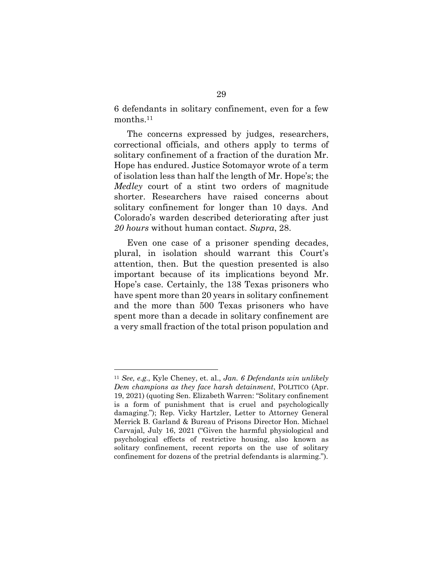6 defendants in solitary confinement, even for a few months.11

The concerns expressed by judges, researchers, correctional officials, and others apply to terms of solitary confinement of a fraction of the duration Mr. Hope has endured. Justice Sotomayor wrote of a term of isolation less than half the length of Mr. Hope's; the *Medley* court of a stint two orders of magnitude shorter. Researchers have raised concerns about solitary confinement for longer than 10 days. And Colorado's warden described deteriorating after just *20 hours* without human contact. *Supra*, 28.

Even one case of a prisoner spending decades, plural, in isolation should warrant this Court's attention, then. But the question presented is also important because of its implications beyond Mr. Hope's case. Certainly, the 138 Texas prisoners who have spent more than 20 years in solitary confinement and the more than 500 Texas prisoners who have spent more than a decade in solitary confinement are a very small fraction of the total prison population and

<sup>11</sup> *See, e.g.*, Kyle Cheney, et. al., *Jan. 6 Defendants win unlikely Dem champions as they face harsh detainment*, POLITICO (Apr. 19, 2021) (quoting Sen. Elizabeth Warren: "Solitary confinement is a form of punishment that is cruel and psychologically damaging."); Rep. Vicky Hartzler, Letter to Attorney General Merrick B. Garland & Bureau of Prisons Director Hon. Michael Carvajal, July 16, 2021 ("Given the harmful physiological and psychological effects of restrictive housing, also known as solitary confinement, recent reports on the use of solitary confinement for dozens of the pretrial defendants is alarming.").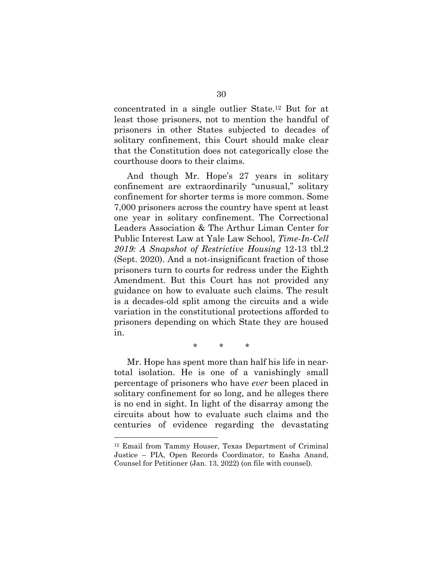concentrated in a single outlier State.12 But for at least those prisoners, not to mention the handful of prisoners in other States subjected to decades of solitary confinement, this Court should make clear that the Constitution does not categorically close the courthouse doors to their claims.

And though Mr. Hope's 27 years in solitary confinement are extraordinarily "unusual," solitary confinement for shorter terms is more common. Some 7,000 prisoners across the country have spent at least one year in solitary confinement. The Correctional Leaders Association & The Arthur Liman Center for Public Interest Law at Yale Law School, *Time-In-Cell 2019: A Snapshot of Restrictive Housing* 12-13 tbl.2 (Sept. 2020). And a not-insignificant fraction of those prisoners turn to courts for redress under the Eighth Amendment. But this Court has not provided any guidance on how to evaluate such claims. The result is a decades-old split among the circuits and a wide variation in the constitutional protections afforded to prisoners depending on which State they are housed in.

\* \* \*

Mr. Hope has spent more than half his life in neartotal isolation. He is one of a vanishingly small percentage of prisoners who have *ever* been placed in solitary confinement for so long, and he alleges there is no end in sight. In light of the disarray among the circuits about how to evaluate such claims and the centuries of evidence regarding the devastating

l

<sup>12</sup> Email from Tammy Houser, Texas Department of Criminal Justice – PIA, Open Records Coordinator, to Easha Anand, Counsel for Petitioner (Jan. 13, 2022) (on file with counsel).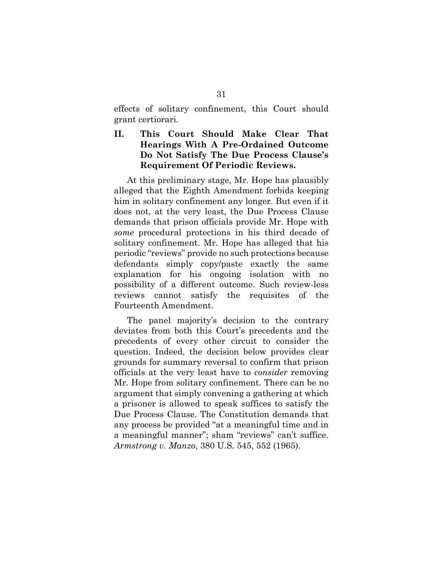effects of solitary confinement, this Court should grant certiorari.

## **II. This Court Should Make Clear That Hearings With A Pre-Ordained Outcome Do Not Satisfy The Due Process Clause's Requirement Of Periodic Reviews.**

At this preliminary stage, Mr. Hope has plausibly alleged that the Eighth Amendment forbids keeping him in solitary confinement any longer. But even if it does not, at the very least, the Due Process Clause demands that prison officials provide Mr. Hope with *some* procedural protections in his third decade of solitary confinement. Mr. Hope has alleged that his periodic "reviews" provide no such protections because defendants simply copy/paste exactly the same explanation for his ongoing isolation with no possibility of a different outcome. Such review-less reviews cannot satisfy the requisites of the Fourteenth Amendment.

The panel majority's decision to the contrary deviates from both this Court's precedents and the precedents of every other circuit to consider the question. Indeed, the decision below provides clear grounds for summary reversal to confirm that prison officials at the very least have to *consider* removing Mr. Hope from solitary confinement. There can be no argument that simply convening a gathering at which a prisoner is allowed to speak suffices to satisfy the Due Process Clause. The Constitution demands that any process be provided "at a meaningful time and in a meaningful manner"; sham "reviews" can't suffice. *Armstrong v. Manzo*, 380 U.S. 545, 552 (1965).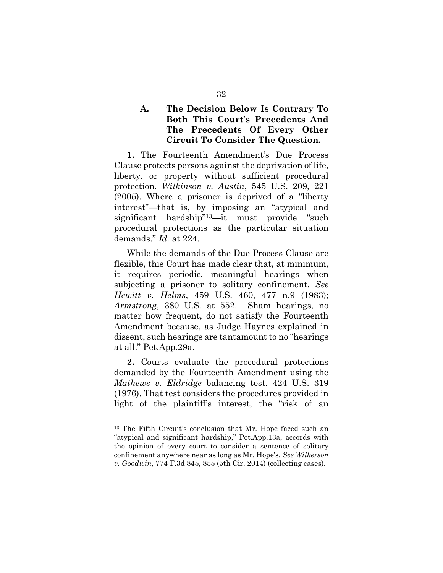## **A. The Decision Below Is Contrary To Both This Court's Precedents And The Precedents Of Every Other Circuit To Consider The Question.**

**1.** The Fourteenth Amendment's Due Process Clause protects persons against the deprivation of life, liberty, or property without sufficient procedural protection. *Wilkinson v. Austin*, 545 U.S. 209, 221 (2005). Where a prisoner is deprived of a "liberty interest"—that is, by imposing an "atypical and significant hardship"13—it must provide "such procedural protections as the particular situation demands." *Id.* at 224.

While the demands of the Due Process Clause are flexible, this Court has made clear that, at minimum, it requires periodic, meaningful hearings when subjecting a prisoner to solitary confinement. *See Hewitt v. Helms*, 459 U.S. 460, 477 n.9 (1983); *Armstrong*, 380 U.S. at 552. Sham hearings, no matter how frequent, do not satisfy the Fourteenth Amendment because, as Judge Haynes explained in dissent, such hearings are tantamount to no "hearings at all." Pet.App.29a.

**2.** Courts evaluate the procedural protections demanded by the Fourteenth Amendment using the *Mathews v. Eldridge* balancing test. 424 U.S. 319 (1976). That test considers the procedures provided in light of the plaintiff's interest, the "risk of an

<sup>13</sup> The Fifth Circuit's conclusion that Mr. Hope faced such an "atypical and significant hardship," Pet.App.13a, accords with the opinion of every court to consider a sentence of solitary confinement anywhere near as long as Mr. Hope's. *See Wilkerson v. Goodwin*, 774 F.3d 845, 855 (5th Cir. 2014) (collecting cases).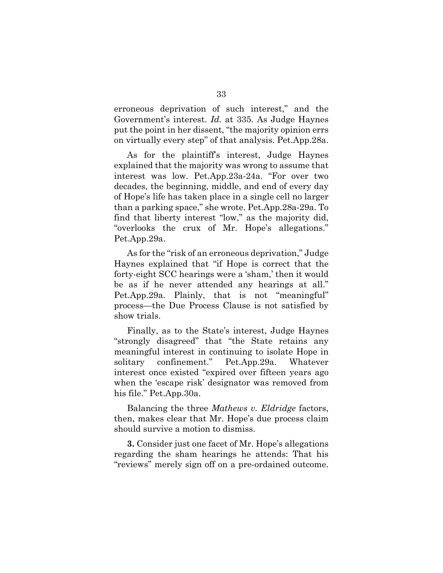erroneous deprivation of such interest," and the Government's interest. *Id.* at 335. As Judge Haynes put the point in her dissent, "the majority opinion errs on virtually every step" of that analysis. Pet.App.28a.

As for the plaintiff's interest, Judge Haynes explained that the majority was wrong to assume that interest was low. Pet.App.23a-24a. "For over two decades, the beginning, middle, and end of every day of Hope's life has taken place in a single cell no larger than a parking space," she wrote. Pet.App.28a-29a. To find that liberty interest "low," as the majority did, "overlooks the crux of Mr. Hope's allegations." Pet.App.29a.

As for the "risk of an erroneous deprivation," Judge Haynes explained that "if Hope is correct that the forty-eight SCC hearings were a 'sham,' then it would be as if he never attended any hearings at all." Pet.App.29a. Plainly, that is not "meaningful" process—the Due Process Clause is not satisfied by show trials.

Finally, as to the State's interest, Judge Haynes "strongly disagreed" that "the State retains any meaningful interest in continuing to isolate Hope in solitary confinement." Pet.App.29a. Whatever interest once existed "expired over fifteen years ago when the 'escape risk' designator was removed from his file." Pet.App.30a.

Balancing the three *Mathews v. Eldridge* factors, then, makes clear that Mr. Hope's due process claim should survive a motion to dismiss.

**3.** Consider just one facet of Mr. Hope's allegations regarding the sham hearings he attends: That his "reviews" merely sign off on a pre-ordained outcome.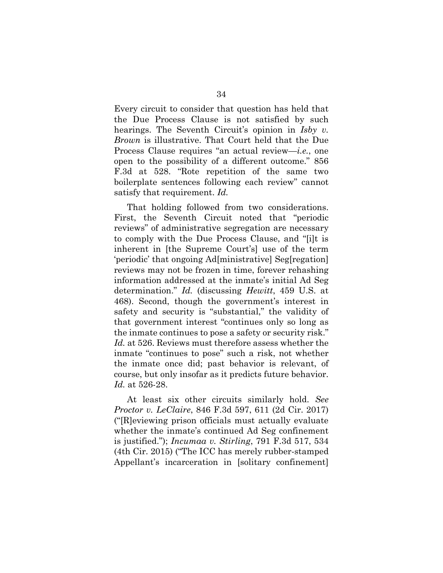Every circuit to consider that question has held that the Due Process Clause is not satisfied by such hearings. The Seventh Circuit's opinion in *Isby v. Brown* is illustrative. That Court held that the Due Process Clause requires "an actual review—*i.e.*, one open to the possibility of a different outcome." 856 F.3d at 528. "Rote repetition of the same two boilerplate sentences following each review" cannot satisfy that requirement. *Id.* 

That holding followed from two considerations. First, the Seventh Circuit noted that "periodic reviews" of administrative segregation are necessary to comply with the Due Process Clause, and "[i]t is inherent in [the Supreme Court's] use of the term 'periodic' that ongoing Ad[ministrative] Seg[regation] reviews may not be frozen in time, forever rehashing information addressed at the inmate's initial Ad Seg determination." *Id.* (discussing *Hewitt*, 459 U.S. at 468). Second, though the government's interest in safety and security is "substantial," the validity of that government interest "continues only so long as the inmate continues to pose a safety or security risk." *Id.* at 526. Reviews must therefore assess whether the inmate "continues to pose" such a risk, not whether the inmate once did; past behavior is relevant, of course, but only insofar as it predicts future behavior. *Id.* at 526-28.

At least six other circuits similarly hold. *See Proctor v. LeClaire*, 846 F.3d 597, 611 (2d Cir. 2017) ("[R]eviewing prison officials must actually evaluate whether the inmate's continued Ad Seg confinement is justified."); *Incumaa v. Stirling*, 791 F.3d 517, 534 (4th Cir. 2015) ("The ICC has merely rubber-stamped Appellant's incarceration in [solitary confinement]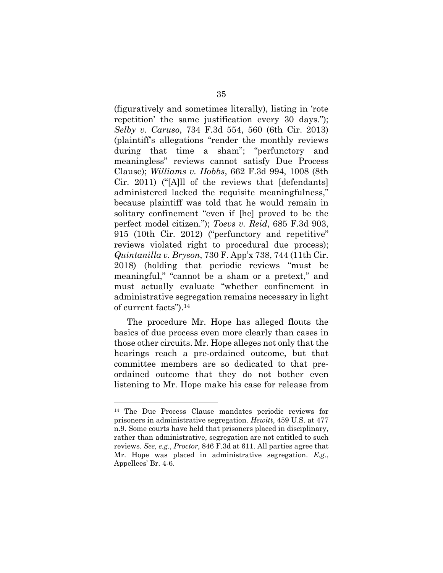(figuratively and sometimes literally), listing in 'rote repetition' the same justification every 30 days."); *Selby v. Caruso*, 734 F.3d 554, 560 (6th Cir. 2013) (plaintiff's allegations "render the monthly reviews during that time a sham"; "perfunctory and meaningless" reviews cannot satisfy Due Process Clause); *Williams v. Hobbs*, 662 F.3d 994, 1008 (8th Cir. 2011) ("[A]ll of the reviews that [defendants] administered lacked the requisite meaningfulness," because plaintiff was told that he would remain in solitary confinement "even if [he] proved to be the perfect model citizen."); *Toevs v. Reid*, 685 F.3d 903, 915 (10th Cir. 2012) ("perfunctory and repetitive" reviews violated right to procedural due process); *Quintanilla v. Bryson*, 730 F. App'x 738, 744 (11th Cir. 2018) (holding that periodic reviews "must be meaningful," "cannot be a sham or a pretext," and must actually evaluate "whether confinement in administrative segregation remains necessary in light of current facts").14

The procedure Mr. Hope has alleged flouts the basics of due process even more clearly than cases in those other circuits. Mr. Hope alleges not only that the hearings reach a pre-ordained outcome, but that committee members are so dedicated to that preordained outcome that they do not bother even listening to Mr. Hope make his case for release from

l

<sup>14</sup> The Due Process Clause mandates periodic reviews for prisoners in administrative segregation. *Hewitt*, 459 U.S. at 477 n.9. Some courts have held that prisoners placed in disciplinary, rather than administrative, segregation are not entitled to such reviews. *See, e.g.*, *Proctor*, 846 F.3d at 611. All parties agree that Mr. Hope was placed in administrative segregation. *E.g.*, Appellees' Br. 4-6.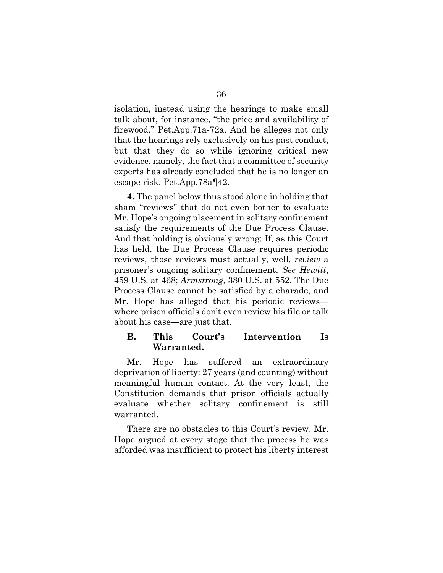isolation, instead using the hearings to make small talk about, for instance, "the price and availability of firewood." Pet.App.71a-72a. And he alleges not only that the hearings rely exclusively on his past conduct, but that they do so while ignoring critical new evidence, namely, the fact that a committee of security experts has already concluded that he is no longer an escape risk. Pet.App.78a¶42.

**4.** The panel below thus stood alone in holding that sham "reviews" that do not even bother to evaluate Mr. Hope's ongoing placement in solitary confinement satisfy the requirements of the Due Process Clause. And that holding is obviously wrong: If, as this Court has held, the Due Process Clause requires periodic reviews, those reviews must actually, well, *review* a prisoner's ongoing solitary confinement. *See Hewitt*, 459 U.S. at 468; *Armstrong*, 380 U.S. at 552. The Due Process Clause cannot be satisfied by a charade, and Mr. Hope has alleged that his periodic reviews where prison officials don't even review his file or talk about his case—are just that.

### **B. This Court's Intervention Is Warranted.**

Mr. Hope has suffered an extraordinary deprivation of liberty: 27 years (and counting) without meaningful human contact. At the very least, the Constitution demands that prison officials actually evaluate whether solitary confinement is still warranted.

There are no obstacles to this Court's review. Mr. Hope argued at every stage that the process he was afforded was insufficient to protect his liberty interest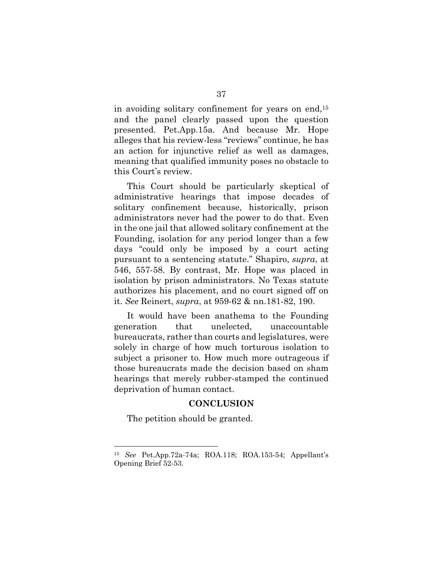in avoiding solitary confinement for years on end,15 and the panel clearly passed upon the question presented. Pet.App.15a. And because Mr. Hope alleges that his review-less "reviews" continue, he has an action for injunctive relief as well as damages, meaning that qualified immunity poses no obstacle to this Court's review.

This Court should be particularly skeptical of administrative hearings that impose decades of solitary confinement because, historically, prison administrators never had the power to do that. Even in the one jail that allowed solitary confinement at the Founding, isolation for any period longer than a few days "could only be imposed by a court acting pursuant to a sentencing statute." Shapiro, *supra*, at 546, 557-58. By contrast, Mr. Hope was placed in isolation by prison administrators. No Texas statute authorizes his placement, and no court signed off on it. *See* Reinert, *supra*, at 959-62 & nn.181-82, 190.

It would have been anathema to the Founding generation that unelected, unaccountable bureaucrats, rather than courts and legislatures, were solely in charge of how much torturous isolation to subject a prisoner to. How much more outrageous if those bureaucrats made the decision based on sham hearings that merely rubber-stamped the continued deprivation of human contact.

#### **CONCLUSION**

The petition should be granted.

l

<sup>15</sup> *See* Pet.App.72a-74a; ROA.118; ROA.153-54; Appellant's Opening Brief 52-53.